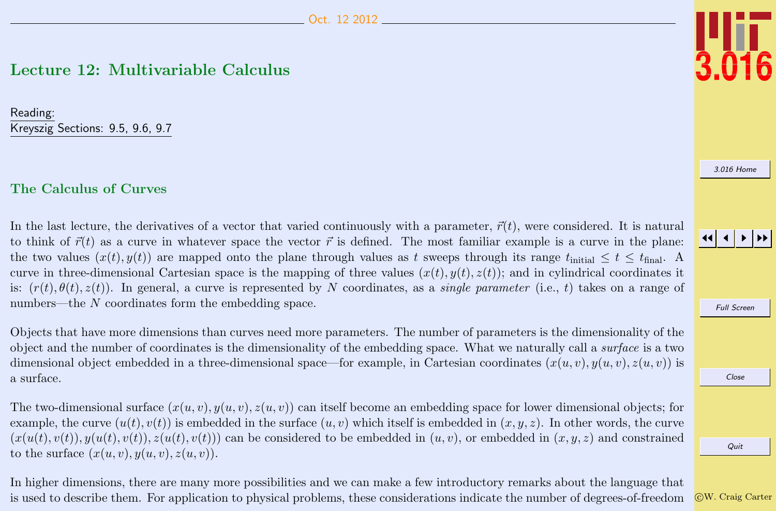# <span id="page-0-0"></span>Lecture 12: Multivariable Calculus

Reading: Kreyszig Sections: 9.5, 9.6, 9.7

## The Calculus of Curves

In the last lecture, the derivatives of a vector that varied continuously with a parameter,  $\vec{r}(t)$ , were considered. It is natural to think of  $\vec{r}(t)$  as a curve in whatever space the vector  $\vec{r}$  is defined. The most familiar example is a curve in the plane: the two values  $(x(t), y(t))$  are mapped onto the plane through values as t sweeps through its range  $t_{initial} \le t \le t_{final}$ . curve in three-dimensional Cartesian space is the mapping of three values  $(x(t), y(t), z(t))$ ; and in cylindrical coordinates it is:  $(r(t), \theta(t), z(t))$ . In general, a curve is represented by N coordinates, as a *single parameter* (i.e., t) takes on a range of numbers—the N coordinates form the embedding space.

Objects that have more dimensions than curves need more parameters. The number of parameters is the dimensionality of the object and the number of coordinates is the dimensionality of the embedding space. What we naturally call a surface is a two dimensional object embedded in a three-dimensional space—for example, in Cartesian coordinates  $(x(u, v), y(u, v), z(u, v))$  is a surface.

The two-dimensional surface  $(x(u, v), y(u, v), z(u, v))$  can itself become an embedding space for lower dimensional objects; for example, the curve  $(u(t), v(t))$  is embedded in the surface  $(u, v)$  which itself is embedded in  $(x, y, z)$ . In other words, the curve  $(x(u(t), v(t)), y(u(t), v(t)), z(u(t), v(t)))$  can be considered to be embedded in  $(u, v)$ , or embedded in  $(x, y, z)$  and constrained to the surface  $(x(u, v), y(u, v), z(u, v))$ .

In higher dimensions, there are many more possibilities and we can make a few introductory remarks about the language that is used to describe them. For application to physical problems, these considerations indicate the number of degrees-of-freedom



[3.016 Home](http://pruffle.mit.edu/3.016-2012/)



Full Screen

Close

Quit

c W. Craig Carter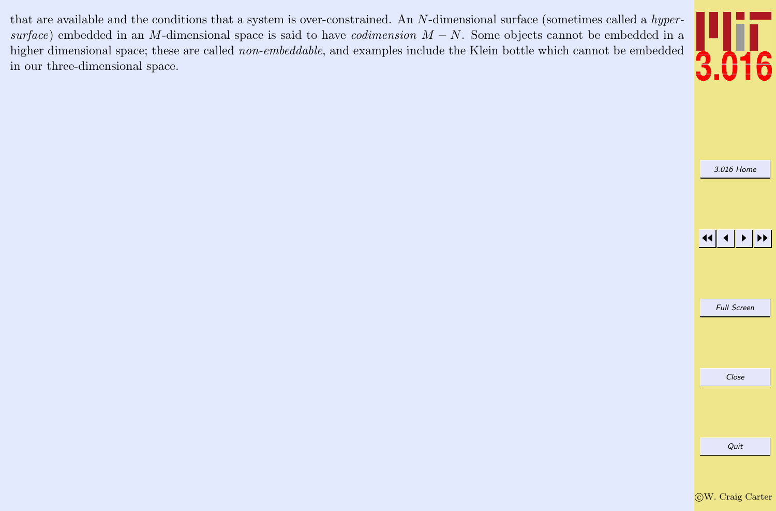<span id="page-1-0"></span>that are available and the conditions that a system is over-constrained. An N-dimensional surface (sometimes called a hypersurface) embedded in an M-dimensional space is said to have *codimension*  $M - N$ . Some objects cannot be embedded in a higher dimensional space; these are called non-embeddable, and examples include the Klein bottle which cannot be embedded in our three-dimensional space.



[3.016 Home](http://pruffle.mit.edu/3.016-2012/)

JJ J I II

Full Screen

Close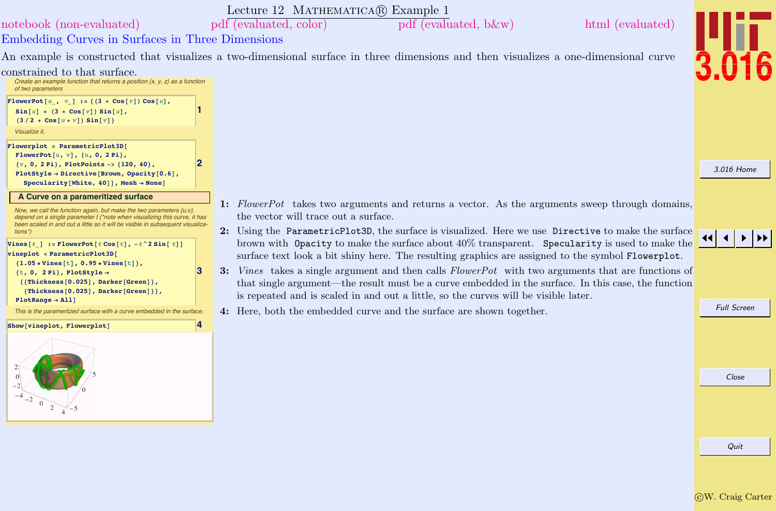<span id="page-2-0"></span>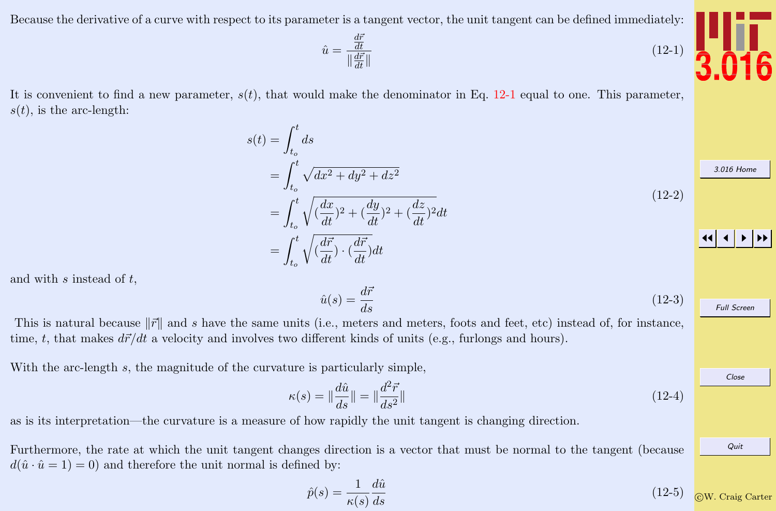<span id="page-3-0"></span>Because the derivative of a curve with respect to its parameter is a tangent vector, the unit tangent can be defined immediately:

 $d\bar{r}$ dt  $\|\frac{d\vec{r}}{dt}\|$ 

 $\hat{u} =$ 

$$
f_{\rm{max}}(x)=\frac{1}{2}x^2+\frac{1}{2}x^2+\frac{1}{2}x^2+\frac{1}{2}x^2+\frac{1}{2}x^2+\frac{1}{2}x^2+\frac{1}{2}x^2+\frac{1}{2}x^2+\frac{1}{2}x^2+\frac{1}{2}x^2+\frac{1}{2}x^2+\frac{1}{2}x^2+\frac{1}{2}x^2+\frac{1}{2}x^2+\frac{1}{2}x^2+\frac{1}{2}x^2+\frac{1}{2}x^2+\frac{1}{2}x^2+\frac{1}{2}x^2+\frac{1}{2}x^2+\frac{1}{2}x^2+\frac{1}{2}x^2+\frac{1}{2}x^2+\frac{1}{2}x^2+\frac{1}{2}x^2+\frac{1}{2}x^2+\frac{1}{2}x^2+\frac{1}{2}x^2+\frac{1}{2}x^2+\frac{1}{2}x^2+\frac{1}{2}x^2+\frac{1}{2}x^2+\frac{1}{2}x^2+\frac{1}{2}x^2+\frac{1}{2}x^2+\frac{1}{2}x^2+\frac{1}{2}x^2+\frac{1}{2}x^2+\frac{1}{2}x^2+\frac{1}{2}x^2+\frac{1}{2}x^2+\frac{1}{2}x^2+\frac{1}{2}x^2+\frac{1}{2}x^2+\frac{1}{2}x^2+\frac{1}{2}x^2+\frac{1}{2}x^2+\frac{1}{2}x^2+\frac{1}{2}x^2+\frac{1}{2}x^2+\frac{1}{2}x^2+\frac{1}{2}x^2+\frac{1}{2}x^2+\frac{1}{2}x^2+\frac{1}{2}x^2+\frac{1}{2}x^2+\frac{1}{2}x^2+\frac{1}{2}x^2+\frac{1}{2}x^2+\frac{1}{2}x^2+\frac{1}{2}x^2+\frac{1}{2}x^2+\frac{1}{2}x^2+\frac{1}{2}x^2+\frac{1}{2}x^2+\frac{1}{2}x^2+\frac{1}{2}x^2+\frac{1}{2}x^2+\frac{1}{2}x^2+\frac{1}{2}x^2+\frac{1}{2}x^2+\frac{1}{2}x^2+\frac{1}{2}x^2+\frac{1}{2}x^2+\frac{1}{2}x^
$$

It is convenient to find a new parameter,  $s(t)$ , that would make the denominator in Eq. 12-1 equal to one. This parameter,  $s(t)$ , is the arc-length:

> $s(t) = \int_0^t$  $t_o$ ds  $=$  $\int_0^t$  $t_o$  $\sqrt{dx^2 + dy^2 + dz^2}$  $=$  $\int_0^t$ <sup>1</sup>  $(\frac{dx}{dt})^2 + (\frac{dy}{dt})^2 + (\frac{dz}{dt})^2 dt$  $(12-2)$

$$
= \int_{t_o}^t \sqrt{\left(\frac{d\vec{r}}{dt}\right) \cdot \left(\frac{d\vec{r}}{dt}\right)} dt
$$

and with  $s$  instead of  $t$ ,

$$
\hat{u}(s) = \frac{d\vec{r}}{ds} \tag{12-3}
$$

This is natural because  $\|\vec{r}\|$  and s have the same units (i.e., meters and meters, foots and feet, etc) instead of, for instance, time, t, that makes  $d\vec{r}/dt$  a velocity and involves two different kinds of units (e.g., furlongs and hours).

With the arc-length s, the magnitude of the curvature is particularly simple,

$$
\kappa(s) = \|\frac{d\hat{u}}{ds}\| = \|\frac{d^2\vec{r}}{ds^2}\|
$$
\n(12-4)

as is its interpretation—the curvature is a measure of how rapidly the unit tangent is changing direction.

Furthermore, the rate at which the unit tangent changes direction is a vector that must be normal to the tangent (because  $d(\hat{u} \cdot \hat{u} = 1) = 0$  and therefore the unit normal is defined by:

$$
\hat{p}(s) = \frac{1}{\kappa(s)} \frac{d\hat{u}}{ds}
$$
\n(12-5) 
$$
\boxed{\text{OW. Craig Carter}}
$$



 $(12-1)$ 

[3.016 Home](http://pruffle.mit.edu/3.016-2012/)

Full Screen

Close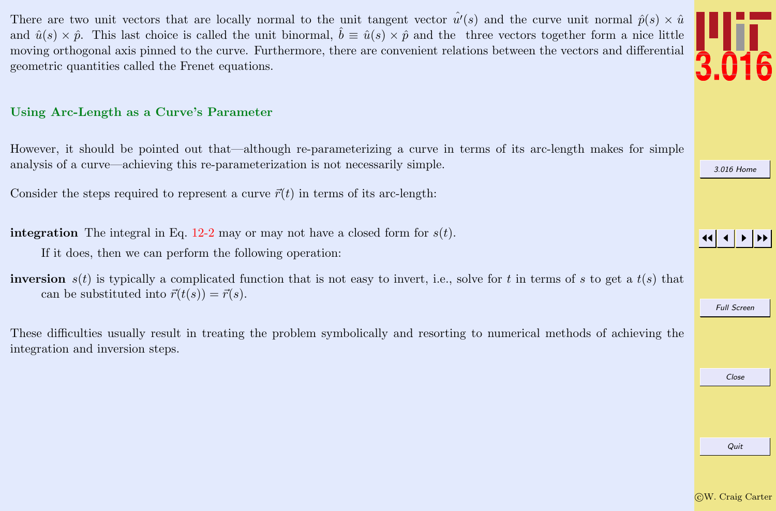<span id="page-4-0"></span>There are two unit vectors that are locally normal to the unit tangent vector  $\hat{u}'(s)$  and the curve unit normal  $\hat{p}(s) \times \hat{u}$ and  $\hat{u}(s) \times \hat{p}$ . This last choice is called the unit binormal,  $\hat{b} \equiv \hat{u}(s) \times \hat{p}$  and the three vectors together form a nice little moving orthogonal axis pinned to the curve. Furthermore, there are convenient relations between the vectors and differential geometric quantities called the Frenet equations.

#### Using Arc-Length as a Curve's Parameter

However, it should be pointed out that—although re-parameterizing a curve in terms of its arc-length makes for simple analysis of a curve—achieving this re-parameterization is not necessarily simple.

Consider the steps required to represent a curve  $\vec{r}(t)$  in terms of its arc-length:

**integration** The integral in Eq. [12-2](#page-3-0) may or may not have a closed form for  $s(t)$ .

If it does, then we can perform the following operation:

**inversion**  $s(t)$  is typically a complicated function that is not easy to invert, i.e., solve for t in terms of s to get a  $t(s)$  that can be substituted into  $\vec{r}(t(s)) = \vec{r}(s)$ .

These difficulties usually result in treating the problem symbolically and resorting to numerical methods of achieving the integration and inversion steps.

Quit



[3.016 Home](http://pruffle.mit.edu/3.016-2012/)

JJ J I II

Full Screen

Close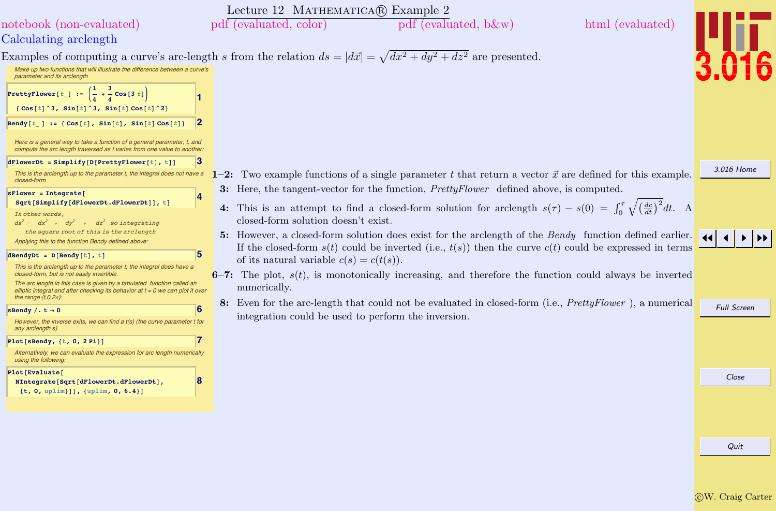<span id="page-5-0"></span>

| Lecture 12 MATHEMATICA® Example 2                                                                                                                                                                                                                                                                                                                                                                                                                                                                                                                                                                                                                   |                    |
|-----------------------------------------------------------------------------------------------------------------------------------------------------------------------------------------------------------------------------------------------------------------------------------------------------------------------------------------------------------------------------------------------------------------------------------------------------------------------------------------------------------------------------------------------------------------------------------------------------------------------------------------------------|--------------------|
| pdf (evaluated, color)<br>pdf (evaluated, b&w)<br>html (evaluated)<br>notebook (non-evaluated)                                                                                                                                                                                                                                                                                                                                                                                                                                                                                                                                                      |                    |
| Calculating arclength                                                                                                                                                                                                                                                                                                                                                                                                                                                                                                                                                                                                                               |                    |
| Examples of computing a curve's arc-length s from the relation $ds =  d\vec{x}  = \sqrt{dx^2 + dy^2 + dz^2}$ are presented.                                                                                                                                                                                                                                                                                                                                                                                                                                                                                                                         |                    |
| Make up two functions that will illustrate the difference between a curve's<br>parameter and its arclength                                                                                                                                                                                                                                                                                                                                                                                                                                                                                                                                          |                    |
| PrettyFlower[t_] := $\left(\frac{1}{4} + \frac{3}{4} \cos\left[3 t\right]\right)$<br>$\{ \text{Cos}[t] \land 3, \text{Sin}[t] \land 3, \text{Sin}[t] \text{Cos}[t] \land 2 \}$                                                                                                                                                                                                                                                                                                                                                                                                                                                                      |                    |
| 12<br>Bendy $[t_] := \{ \text{Cos}[t], \text{Sin}[t], \text{Sin}[t] \text{Cos}[t] \}$<br>Here is a general way to take a function of a general parameter, t, and<br>compute the arc length traversed as t varies from one value to another.                                                                                                                                                                                                                                                                                                                                                                                                         |                    |
| 3<br>$d$ FlowerDt = Simplify[D[PrettyFlower[t], t]]<br>1-2: Two example functions of a single parameter t that return a vector $\vec{x}$ are defined for this example.<br>This is the arclength up to the parameter t, the integral does not have a                                                                                                                                                                                                                                                                                                                                                                                                 | 3.016 Home         |
| closed-form<br>3: Here, the tangent-vector for the function, <i>PrettyFlower</i> defined above, is computed.<br>$sFlower = Integrate[$<br>4<br>Sqrt[Simplify[dFlowerDt.dFlowerDt]], t]<br>4: This is an attempt to find a closed-form solution for arclength $s(\tau) - s(0) = \int_0^{\tau} \sqrt{(\frac{dc}{dt})^2} dt$ . A<br>In other words,<br>closed-form solution doesn't exist.<br>$ds^2 = dx^2 + dy^2 + dz^2$ so integrating                                                                                                                                                                                                               |                    |
| the square root of this is the arclength<br>5: However, a closed-form solution does exist for the arclength of the Bendy function defined earlier.<br>Applying this to the function Bendy defined above.<br>If the closed-form $s(t)$ could be inverted (i.e., $t(s)$ ) then the curve $c(t)$ could be expressed in terms<br>5<br>dBendyDt = $D[$ Bendy $[t]$ , t]<br>of its natural variable $c(s) = c(t(s))$ .<br>This is the arclength up to the parameter t, the integral does have a<br>6-7: The plot, $s(t)$ , is monotonically increasing, and therefore the function could always be inverted<br>closed-form, but is not easily invertible. |                    |
| The arc length in this case is given by a tabulated function called an<br>numerically.<br>elliptic integral and after checking its behavior at $t = 0$ we can plot it over<br>the range $\{t, 0, 2\pi\}$ :                                                                                                                                                                                                                                                                                                                                                                                                                                          |                    |
| 8: Even for the arc-length that could not be evaluated in closed-form (i.e., PrettyFlower), a numerical<br>6<br>sBendy /. $t \rightarrow 0$<br>integration could be used to perform the inversion.<br>However, the inverse exits, we can find a t(s) (the curve parameter t for<br>any arclength s)                                                                                                                                                                                                                                                                                                                                                 | <b>Full Screen</b> |
| $Plot[sbendy, {t, 0, 2 Pi}]$<br>Alternatively, we can evaluate the expression for arc length numerically<br>using the following:                                                                                                                                                                                                                                                                                                                                                                                                                                                                                                                    |                    |
| Plot[Evaluate]<br>8<br>NIntegrate[Sqrt[dFlowerDt.dFlowerDt],<br>$\{t, 0, \text{uplim}\}\}, \{\text{uplim}, 0, 6.4\}\}\$                                                                                                                                                                                                                                                                                                                                                                                                                                                                                                                             | Close              |
|                                                                                                                                                                                                                                                                                                                                                                                                                                                                                                                                                                                                                                                     |                    |
|                                                                                                                                                                                                                                                                                                                                                                                                                                                                                                                                                                                                                                                     | Quit               |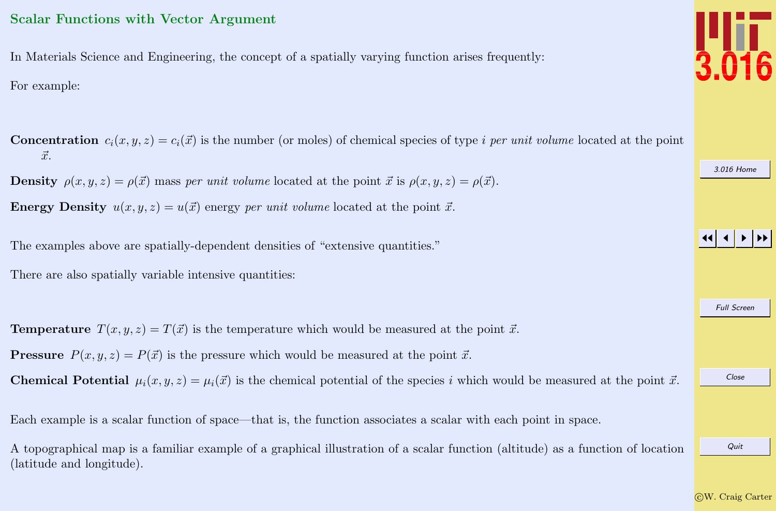## <span id="page-6-0"></span>Scalar Functions with Vector Argument

In Materials Science and Engineering, the concept of a spatially varying function arises frequently: For example:

[3.016 Home](http://pruffle.mit.edu/3.016-2012/) JJ J I II Full Screen Close Quit **Concentration**  $c_i(x, y, z) = c_i(\vec{x})$  is the number (or moles) of chemical species of type *i per unit volume* located at the point  $\vec{x}$ . **Density**  $\rho(x, y, z) = \rho(\vec{x})$  mass per unit volume located at the point  $\vec{x}$  is  $\rho(x, y, z) = \rho(\vec{x})$ . **Energy Density**  $u(x, y, z) = u(\vec{x})$  energy per unit volume located at the point  $\vec{x}$ . The examples above are spatially-dependent densities of "extensive quantities." There are also spatially variable intensive quantities: **Temperature**  $T(x, y, z) = T(\vec{x})$  is the temperature which would be measured at the point  $\vec{x}$ . **Pressure**  $P(x, y, z) = P(\vec{x})$  is the pressure which would be measured at the point  $\vec{x}$ . **Chemical Potential**  $\mu_i(x, y, z) = \mu_i(\vec{x})$  is the chemical potential of the species i which would be measured at the point  $\vec{x}$ . Each example is a scalar function of space—that is, the function associates a scalar with each point in space. A topographical map is a familiar example of a graphical illustration of a scalar function (altitude) as a function of location (latitude and longitude).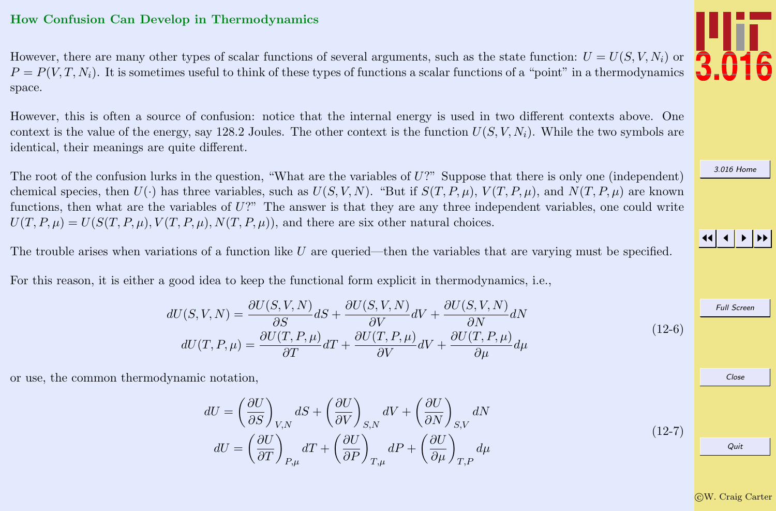### <span id="page-7-0"></span>How Confusion Can Develop in Thermodynamics

However, there are many other types of scalar functions of several arguments, such as the state function:  $U = U(S, V, N_i)$  or  $P = P(V, T, N_i)$ . It is sometimes useful to think of these types of functions a scalar functions of a "point" in a thermodynamics space.

However, this is often a source of confusion: notice that the internal energy is used in two different contexts above. One context is the value of the energy, say 128.2 Joules. The other context is the function  $U(S, V, N_i)$ . While the two symbols are identical, their meanings are quite different.

The root of the confusion lurks in the question, "What are the variables of  $U$ ?" Suppose that there is only one (independent) chemical species, then  $U(\cdot)$  has three variables, such as  $U(S, V, N)$ . "But if  $S(T, P, \mu)$ ,  $V(T, P, \mu)$ , and  $N(T, P, \mu)$  are known functions, then what are the variables of  $U$ ?" The answer is that they are any three independent variables, one could write  $U(T, P, \mu) = U(S(T, P, \mu), V(T, P, \mu), N(T, P, \mu))$ , and there are six other natural choices.

The trouble arises when variations of a function like U are queried—then the variables that are varying must be specified.

For this reason, it is either a good idea to keep the functional form explicit in thermodynamics, i.e.,

$$
dU(S, V, N) = \frac{\partial U(S, V, N)}{\partial S} dS + \frac{\partial U(S, V, N)}{\partial V} dV + \frac{\partial U(S, V, N)}{\partial N} dN
$$
  

$$
dU(T, P, \mu) = \frac{\partial U(T, P, \mu)}{\partial T} dT + \frac{\partial U(T, P, \mu)}{\partial V} dV + \frac{\partial U(T, P, \mu)}{\partial \mu} d\mu
$$
 (12-6)

or use, the common thermodynamic notation,

$$
dU = \left(\frac{\partial U}{\partial S}\right)_{V,N} dS + \left(\frac{\partial U}{\partial V}\right)_{S,N} dV + \left(\frac{\partial U}{\partial N}\right)_{S,V} dN
$$

$$
dU = \left(\frac{\partial U}{\partial T}\right)_{P,\mu} dT + \left(\frac{\partial U}{\partial P}\right)_{T,\mu} dP + \left(\frac{\partial U}{\partial \mu}\right)_{T,P} d\mu
$$



[3.016 Home](http://pruffle.mit.edu/3.016-2012/)

#### JJ J I II

Full Screen Close Quit

 $(12-7)$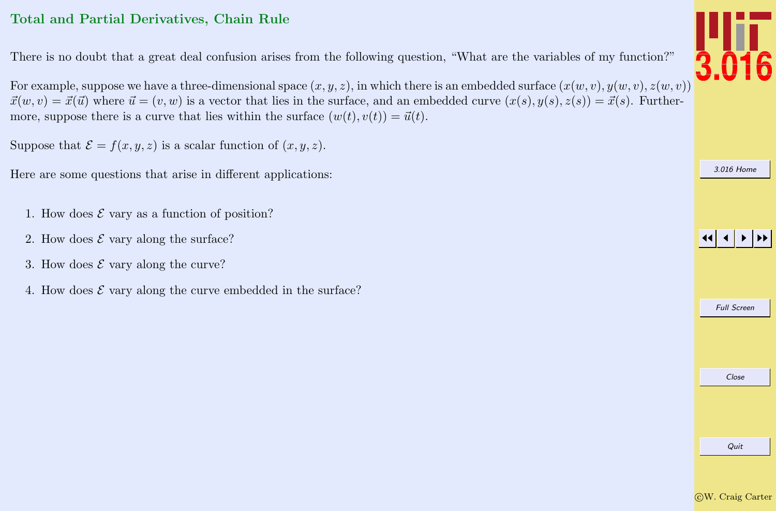## <span id="page-8-0"></span>Total and Partial Derivatives, Chain Rule

There is no doubt that a great deal confusion arises from the following question, "What are the variables of my function?"

For example, suppose we have a three-dimensional space  $(x, y, z)$ , in which there is an embedded surface  $(x(w, v), y(w, v), z(w, v))$  $\vec{x}(w, v) = \vec{x}(\vec{u})$  where  $\vec{u} = (v, w)$  is a vector that lies in the surface, and an embedded curve  $(x(s), y(s), z(s)) = \vec{x}(s)$ . Furthermore, suppose there is a curve that lies within the surface  $(w(t), v(t)) = \vec{u}(t)$ .

Suppose that  $\mathcal{E} = f(x, y, z)$  is a scalar function of  $(x, y, z)$ .

Here are some questions that arise in different applications:

- 1. How does  $\mathcal E$  vary as a function of position?
- 2. How does  $\mathcal E$  vary along the surface?
- 3. How does  $\mathcal E$  vary along the curve?
- 4. How does  $\mathcal E$  vary along the curve embedded in the surface?

Quit







Full Screen

Close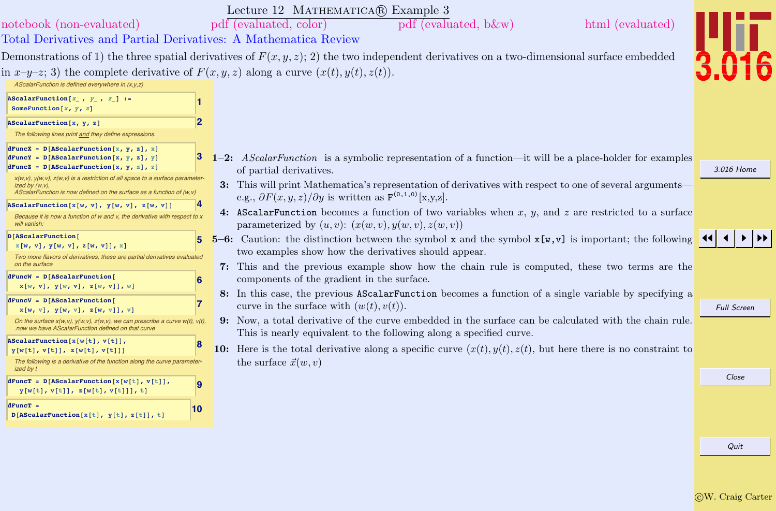<span id="page-9-0"></span>

| Lecture 12 MATHEMATICA(R) Example 3                                                                                                                                                                                                                                                                                                                                              |                    |
|----------------------------------------------------------------------------------------------------------------------------------------------------------------------------------------------------------------------------------------------------------------------------------------------------------------------------------------------------------------------------------|--------------------|
| pdf (evaluated, b&w)<br>html (evaluated)<br>notebook (non-evaluated)<br>pdf (evaluated, color)                                                                                                                                                                                                                                                                                   |                    |
| Total Derivatives and Partial Derivatives: A Mathematica Review                                                                                                                                                                                                                                                                                                                  |                    |
| Demonstrations of 1) the three spatial derivatives of $F(x, y, z)$ ; 2) the two independent derivatives on a two-dimensional surface embedded                                                                                                                                                                                                                                    |                    |
| in $x-y-z$ ; 3) the complete derivative of $F(x, y, z)$ along a curve $(x(t), y(t), z(t))$ .<br>AScalarFunction is defined everywhere in (x,y,z)                                                                                                                                                                                                                                 |                    |
| AScalarFunction $[x_1, y_2, z_1]:=$<br>SomeFunction $[x, y, z]$                                                                                                                                                                                                                                                                                                                  |                    |
| $\overline{2}$<br>AScalarFunction[x, y, z]                                                                                                                                                                                                                                                                                                                                       |                    |
| The following lines print and they define expressions.                                                                                                                                                                                                                                                                                                                           |                    |
| $dFuncX = D[AScalarFunction[x, y, z], x]$<br>1-2: AScalar Function is a symbolic representation of a function—it will be a place-holder for examples<br>$dFuncY = D[AScalarFunction[x, y, z], y]$<br>$dFuncZ = D[AScalarFunction[x, y, z], z]$<br>of partial derivatives.                                                                                                        | 3.016 Home         |
| $x(w, v)$ , $y(w, v)$ , $z(w, v)$ is a restriction of all space to a surface parameter-<br>3: This will print Mathematica's representation of derivatives with respect to one of several arguments—<br>ized by $(w, v)$ ,<br>AScalarFunction is now defined on the surface as a function of (w,v)<br>e.g., $\partial F(x, y, z)/\partial y$ is written as $F^{(0,1,0)}[x,y,z]$ . |                    |
| AScalarFunction[x[w, v], $y[w, v]$ , z[w, v]]<br>4: AScalarFunction becomes a function of two variables when $x, y$ , and $z$ are restricted to a surface<br>Because it is now a function of w and v, the derivative with respect to x<br>parameterized by $(u, v)$ : $(x(w, v), y(w, v), z(w, v))$<br>will vanish:                                                              |                    |
| D[AScalarFunction]<br>5-6: Caution: the distinction between the symbol $x$ and the symbol $x[y, y]$ is important; the following<br>5<br>x[w, v], y[w, v], z[w, v]], x]<br>two examples show how the derivatives should appear.<br>Two more flavors of derivatives, these are partial derivatives evaluated<br>on the surface                                                     |                    |
| 7: This and the previous example show how the chain rule is computed, these two terms are the<br>$dFuncW = D[AScalarFunction]$<br>components of the gradient in the surface.<br>6<br>x[w, v], y[w, v], z[w, v]], w]                                                                                                                                                              |                    |
| 8: In this case, the previous AScalarFunction becomes a function of a single variable by specifying a<br>$dFuncV = D[AScalarFunction]$<br>17<br>curve in the surface with $(w(t), v(t))$ .<br>x[w, v], y[w, v], z[w, v]], v]                                                                                                                                                     | <b>Full Screen</b> |
| 9: Now, a total derivative of the curve embedded in the surface can be calculated with the chain rule.<br>On the surface $x(w, v)$ , $y(w, v)$ , $z(w, v)$ , we can prescribe a curve $w(t)$ , $v(t)$ ,<br>now we have AScalarFunction defined on that curve<br>This is nearly equivalent to the following along a specified curve.                                              |                    |
| AScalarFunction[x[w[t], v[t]],<br>18<br>10: Here is the total derivative along a specific curve $(x(t), y(t), z(t))$ , but here there is no constraint to<br>y[w[t], v[t]], z[w[t], v[t]]]<br>the surface $\vec{x}(w, v)$<br>The following is a derivative of the function along the curve parameter-                                                                            |                    |
| ized by t<br>$dFunc$ = $D[ASCalarFunction[x[w[t], v[t]],$<br>9<br>y[w[t], v[t]], z[w[t], v[t]]], t]                                                                                                                                                                                                                                                                              | Close              |
| $dFuncT =$<br> 10<br>$D[AScalarFunction[x[t], y[t], z[t]], t]$                                                                                                                                                                                                                                                                                                                   |                    |
|                                                                                                                                                                                                                                                                                                                                                                                  | Quit               |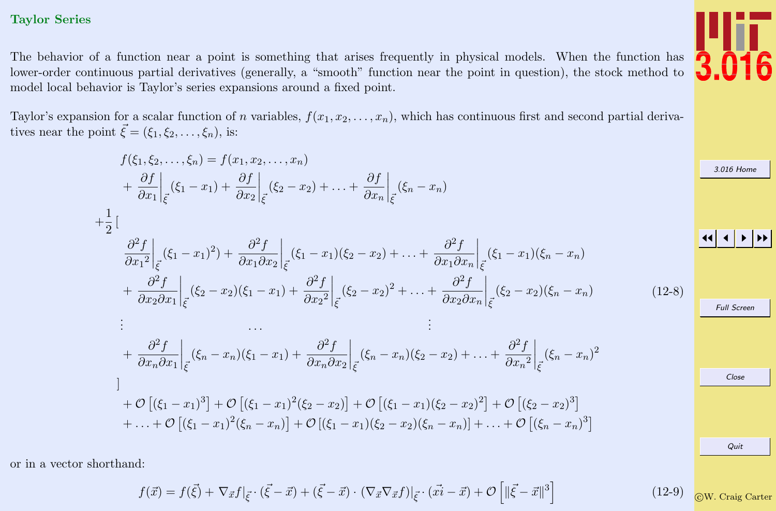#### <span id="page-10-0"></span>Taylor Series

The behavior of a function near a point is something that arises frequently in physical models. When the function has lower-order continuous partial derivatives (generally, a "smooth" function near the point in question), the stock method to model local behavior is Taylor's series expansions around a fixed point.

Taylor's expansion for a scalar function of n variables,  $f(x_1, x_2, \ldots, x_n)$ , which has continuous first and second partial derivatives near the point  $\vec{\xi} = (\xi_1, \xi_2, \dots, \xi_n)$ , is:

$$
f(\xi_1, \xi_2, \dots, \xi_n) = f(x_1, x_2, \dots, x_n)
$$
\n
$$
+ \frac{\partial f}{\partial x_1}\Big|_{\vec{\xi}} (\xi_1 - x_1) + \frac{\partial f}{\partial x_2}\Big|_{\vec{\xi}} (\xi_2 - x_2) + \dots + \frac{\partial f}{\partial x_n}\Big|_{\vec{\xi}} (\xi_n - x_n)
$$
\n
$$
+ \frac{1}{2} \Big[
$$
\n
$$
\frac{\partial^2 f}{\partial x_1^2}\Big|_{\vec{\xi}} (\xi_1 - x_1)^2) + \frac{\partial^2 f}{\partial x_1 \partial x_2}\Big|_{\vec{\xi}} (\xi_1 - x_1)(\xi_2 - x_2) + \dots + \frac{\partial^2 f}{\partial x_1 \partial x_n}\Big|_{\vec{\xi}} (\xi_1 - x_1)(\xi_n - x_n)
$$
\n
$$
+ \frac{\partial^2 f}{\partial x_2 \partial x_1}\Big|_{\vec{\xi}} (\xi_2 - x_2)(\xi_1 - x_1) + \frac{\partial^2 f}{\partial x_2^2}\Big|_{\vec{\xi}} (\xi_2 - x_2)^2 + \dots + \frac{\partial^2 f}{\partial x_2 \partial x_n}\Big|_{\vec{\xi}} (\xi_2 - x_2)(\xi_n - x_n)
$$
\n
$$
\vdots
$$
\n
$$
+ \frac{\partial^2 f}{\partial x_n \partial x_1}\Big|_{\vec{\xi}} (\xi_n - x_n)(\xi_1 - x_1) + \frac{\partial^2 f}{\partial x_n \partial x_2}\Big|_{\vec{\xi}} (\xi_n - x_n)(\xi_2 - x_2) + \dots + \frac{\partial^2 f}{\partial x_n^2}\Big|_{\vec{\xi}} (\xi_n - x_n)^2
$$
\n
$$
+ O\left[ (\xi_1 - x_1)^3 \right] + O\left[ (\xi_1 - x_1)^2 (\xi_2 - x_2) \right] + O\left[ (\xi_1 - x_1)(\xi_2 - x_2)^2 \right] + O\left[ (\xi_2 - x_2)^3 \right]
$$
\n
$$
+ \dots + O\left[ (\xi_1 - x_1)^2 (\xi_n - x_n) \right] + O\left[ (\xi_1 - x_1)(\xi_2 - x_2)(\xi_n - x_n) \right] + \dots + O\left[ (\xi_n - x_n)^3 \right]
$$
\n

or in a vector shorthand:

$$
f(\vec{x}) = f(\vec{\xi}) + \nabla_{\vec{x}} f|_{\vec{\xi}} \cdot (\vec{\xi} - \vec{x}) + (\vec{\xi} - \vec{x}) \cdot (\nabla_{\vec{x}} \nabla_{\vec{x}} f)|_{\vec{\xi}} \cdot (\vec{x} - \vec{x}) + \mathcal{O}\left[\|\vec{\xi} - \vec{x}\|^3\right]
$$
(12-9) (12-9)



ome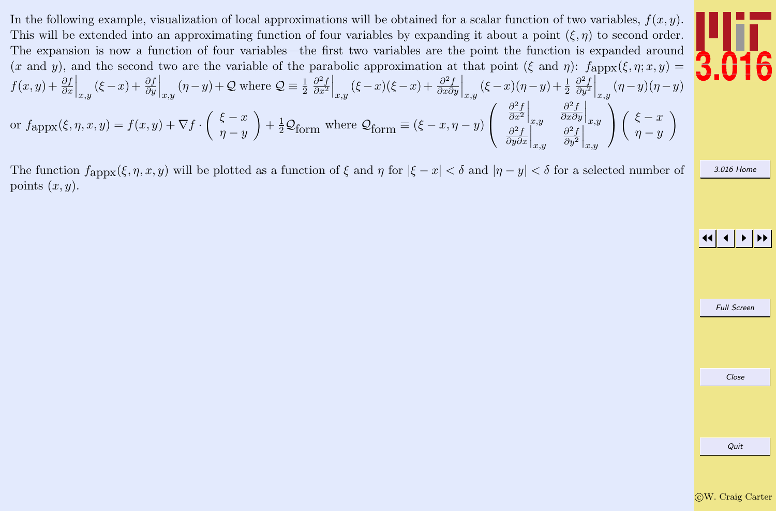In the following example, visualization of local approximations will be obtained for a scalar function of two variables,  $f(x, y)$ . This will be extended into an approximating function of four variables by expanding it about a point  $(\xi, \eta)$  to second order. The expansion is now a function of four variables—the first two variables are the point the function is expanded around (x and y), and the second two are the variable of the parabolic approximation at that point (ξ and η):  $f_{\text{appx}}(\xi, \eta; x, y) =$  $f(x,y) + \frac{\partial f}{\partial x}\Big|_{x,y} (\xi - x) + \frac{\partial f}{\partial y}\Big|_{x,y} (\eta - y) + \mathcal{Q}$  where  $\mathcal{Q} \equiv \frac{1}{2}$  $\partial^2 f$  $\overline{\partial x^2}$  $\Big|_{x,y} (\xi - x)(\xi - x) + \frac{\partial^2 f}{\partial x \partial x}$  $\frac{\partial^2 f}{\partial x \partial y}\Big|_{x,y} (\xi - x)(\eta - y) + \frac{1}{2}$  $\partial^2 f$  $\overline{\partial y^2}$  $\Big|_{x,y}$   $(\eta - y)(\eta - y)$ or  $f_{\rm appx}(\xi, \eta, x, y) = f(x, y) + \nabla f \cdot \left( \begin{array}{c} \xi - x \\ x - y \end{array} \right)$  $\eta - y$  $+\frac{1}{2}\mathcal{Q}_{\text{form}}$  where  $\mathcal{Q}_{\text{form}} \equiv (\xi - x, \eta - y)$  $\sqrt{ }$  $\mathcal{L}$  $\partial^2 f$  $\overline{\partial x^2}$  $\Big|_{x,y}$  $\partial^2 f$  $\frac{\partial^2 f}{\partial x \partial y}\Big|_{x,y}$  $\partial^2 f$  $\frac{\partial^2 f}{\partial y \partial x}\bigg|_{x,y}$  $\partial^2 f$  $\overline{\partial y^2}$  $\Big|_{x,y}$  $\setminus$  $\overline{1}$  $\int \xi - x$  $\eta - y$  $\setminus$ 

The function  $f_{\text{appx}}(\xi, \eta, x, y)$  will be plotted as a function of  $\xi$  and  $\eta$  for  $|\xi - x| < \delta$  and  $|\eta - y| < \delta$  for a selected number of points  $(x, y)$ .



JJ J I II

[3.016 Home](http://pruffle.mit.edu/3.016-2012/)

| <b>Full Screen</b> |
|--------------------|
|                    |
|                    |
|                    |
| Close              |
|                    |
|                    |
|                    |
| Quit               |
|                    |
|                    |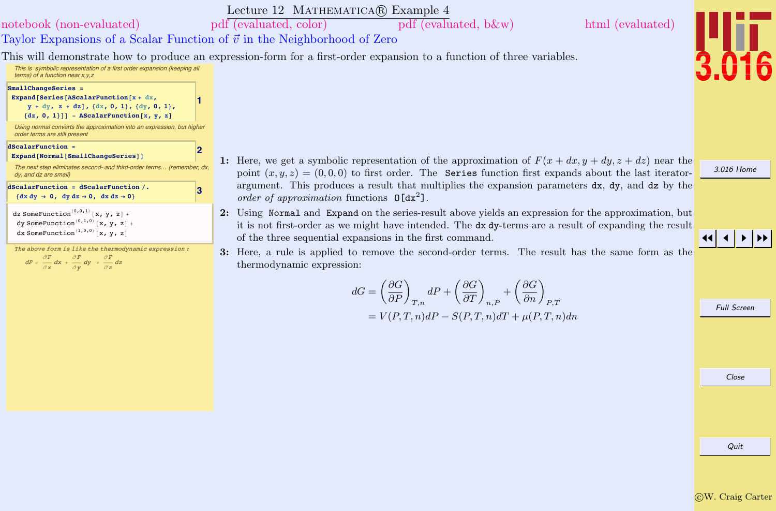<span id="page-12-0"></span>

|                                                                                                                                                                                                                                                                           | Lecture 12 MATHEMATICA(R) Example 4                                                                                                                                                                          |                    |
|---------------------------------------------------------------------------------------------------------------------------------------------------------------------------------------------------------------------------------------------------------------------------|--------------------------------------------------------------------------------------------------------------------------------------------------------------------------------------------------------------|--------------------|
| notebook (non-evaluated)                                                                                                                                                                                                                                                  | pdf (evaluated, color)<br>html (evaluated)<br>pdf (evaluated, b&w)                                                                                                                                           |                    |
| Taylor Expansions of a Scalar Function of $\vec{v}$ in the Neighborhood of Zero                                                                                                                                                                                           |                                                                                                                                                                                                              |                    |
|                                                                                                                                                                                                                                                                           | This will demonstrate how to produce an expression-form for a first-order expansion to a function of three variables.                                                                                        |                    |
| This is symbolic representation of a first order expansion (keeping all<br>terms) of a function near $x, y, z$                                                                                                                                                            |                                                                                                                                                                                                              |                    |
| SmallChangeSeries =<br>Expand [Series [AScalarFunction [x + dx,<br>$y + dy$ , z + dz], {dx, 0, 1}, {dy, 0, 1},<br>$\{dz, 0, 1\}]$ ] - AScalarFunction[x, y, z]<br>Using normal converts the approximation into an expression, but higher<br>order terms are still present |                                                                                                                                                                                                              |                    |
| dScalarFunction =<br>2                                                                                                                                                                                                                                                    |                                                                                                                                                                                                              |                    |
| Expand[Normal[SmallChangeSeries]]<br>The next step eliminates second- and third-order terms<br>dy, and dz are small)                                                                                                                                                      | 1: Here, we get a symbolic representation of the approximation of $F(x+dx, y+dy, z+dz)$ near the<br>point $(x, y, z) = (0, 0, 0)$ to first order. The Series function first expands about the last iterator- | 3.016 Home         |
| dScalarFunction = dScalarFunction /.<br>3<br>$\{dx dy \rightarrow 0, dy dz \rightarrow 0, dx dz \rightarrow 0\}$                                                                                                                                                          | argument. This produces a result that multiplies the expansion parameters $dx$ , $dy$ , and $dz$ by the<br>order of approximation functions $\mathbf{0}[\mathrm{dx}^2]$ .                                    |                    |
| dz SomeFunction <sup>(0,0,1)</sup> [x, y, z] +<br>dy SomeFunction <sup>(0,1,0)</sup> [x, y, z] +                                                                                                                                                                          | 2: Using Normal and Expand on the series-result above yields an expression for the approximation, but                                                                                                        |                    |
| dx SomeFunction <sup>(1,0,0)</sup> [x, y, z]                                                                                                                                                                                                                              | it is not first-order as we might have intended. The dx dy-terms are a result of expanding the result<br>of the three sequential expansions in the first command.                                            |                    |
| The above form is like the thermodynamic expression :<br>$dF = \frac{\partial F}{\partial x} dx + \frac{\partial F}{\partial y} dy + \frac{\partial F}{\partial z} dz$                                                                                                    | 3: Here, a rule is applied to remove the second-order terms. The result has the same form as the<br>thermodynamic expression:                                                                                |                    |
|                                                                                                                                                                                                                                                                           |                                                                                                                                                                                                              |                    |
|                                                                                                                                                                                                                                                                           | $dG = \left(\frac{\partial G}{\partial P}\right)_{T,n} dP + \left(\frac{\partial G}{\partial T}\right)_{n,P} + \left(\frac{\partial G}{\partial n}\right)_{P,T}$                                             | <b>Full Screen</b> |
|                                                                                                                                                                                                                                                                           | $= V(P,T,n)dP - S(P,T,n)dT + \mu(P,T,n)dn$                                                                                                                                                                   |                    |
|                                                                                                                                                                                                                                                                           |                                                                                                                                                                                                              |                    |
|                                                                                                                                                                                                                                                                           |                                                                                                                                                                                                              |                    |
|                                                                                                                                                                                                                                                                           |                                                                                                                                                                                                              |                    |
|                                                                                                                                                                                                                                                                           |                                                                                                                                                                                                              | Close              |
|                                                                                                                                                                                                                                                                           |                                                                                                                                                                                                              |                    |
|                                                                                                                                                                                                                                                                           |                                                                                                                                                                                                              |                    |
|                                                                                                                                                                                                                                                                           |                                                                                                                                                                                                              |                    |
|                                                                                                                                                                                                                                                                           |                                                                                                                                                                                                              | Quit               |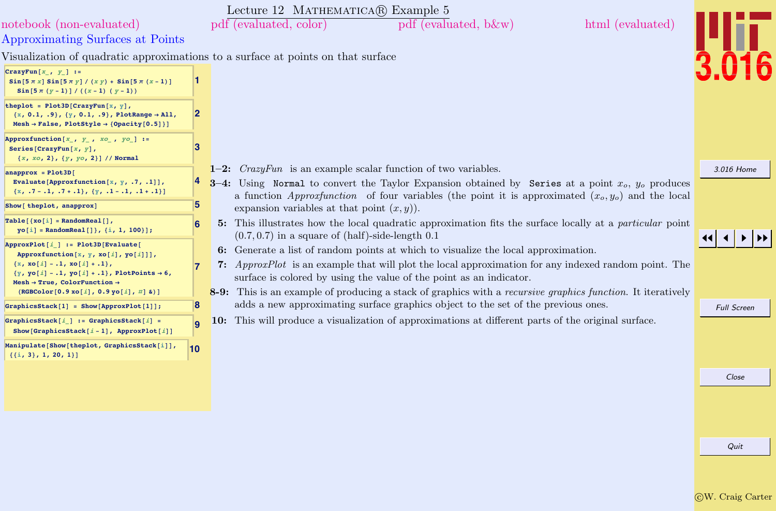<span id="page-13-0"></span>

| notebook (non-evaluated)<br>Approximating Surfaces at Points                                                                                                                                                                                                               |    | Lecture 12 MATHEMATICA® Example 5<br>pdf (evaluated, color)<br>html (evaluated)<br>pdf (evaluated, b&w)                                                                                                                                                                                                                                                                                         |                    |
|----------------------------------------------------------------------------------------------------------------------------------------------------------------------------------------------------------------------------------------------------------------------------|----|-------------------------------------------------------------------------------------------------------------------------------------------------------------------------------------------------------------------------------------------------------------------------------------------------------------------------------------------------------------------------------------------------|--------------------|
|                                                                                                                                                                                                                                                                            |    | Visualization of quadratic approximations to a surface at points on that surface                                                                                                                                                                                                                                                                                                                |                    |
| CrazyFun $[x, y]$ :=<br>$\sin[5 \pi x] \sin[5 \pi y] / (xy) + \sin[5 \pi (x - 1)]$<br>Sin $[5 \pi (y - 1)] / ((x - 1) (y - 1))$                                                                                                                                            |    |                                                                                                                                                                                                                                                                                                                                                                                                 |                    |
| theplot = $Plot3D[CrazyFun[x, y],$<br>$\{x, 0.1, .9\}, \{y, 0.1, .9\},$ PlotRange $\rightarrow$ All,<br>Mesh $\rightarrow$ False, PlotStyle $\rightarrow$ {Opacity[0.5]}]                                                                                                  | 12 |                                                                                                                                                                                                                                                                                                                                                                                                 |                    |
| Approxfunction $[x_1, y_1, xo_1, yo_1]:=$<br>Series [CrazyFun[ $x, y$ ],<br>${x, x0, 2}, {y, y0, 2}]$ // Normal                                                                                                                                                            | 3  |                                                                                                                                                                                                                                                                                                                                                                                                 |                    |
| $anapprox = Plot3D[$<br>Evaluate [Approxfunction $[x, y, .7, .1]$ ],<br>${x, .7-.1, .7+.1}, {y, .1-.1, .1+.1}\}$                                                                                                                                                           |    | $1-2$ : <i>CrazyFun</i> is an example scalar function of two variables.<br>3-4: Using Normal to convert the Taylor Expansion obtained by Series at a point $x_o$ , $y_o$ produces<br>a function <i>Approxfunction</i> of four variables (the point it is approximated $(x_o, y_o)$ ) and the local                                                                                              | 3.016 Home         |
| Show [ theplot, anapprox]                                                                                                                                                                                                                                                  | 5  | expansion variables at that point $(x, y)$ ).                                                                                                                                                                                                                                                                                                                                                   |                    |
| $Table[{xo[i] = RandomReal[]},$<br>$yo[i] = RandomReal[]$ , {i, 1, 100}];                                                                                                                                                                                                  | 6  | 5: This illustrates how the local quadratic approximation fits the surface locally at a particular point<br>$(0.7, 0.7)$ in a square of (half)-side-length 0.1                                                                                                                                                                                                                                  |                    |
| ApproxPlot[i] := Plot3D[Evaluate[<br>Approxfunction $[x, y, xo[i], yo[i]]$ ,<br>${x, xo[i] - .1, xo[i] + .1},$<br>$\{y, yo[i]-1, yo[i]+1\}$ , PlotPoints $\rightarrow 6$ ,<br>Mesh $\rightarrow$ True, ColorFunction $\rightarrow$<br>(RGEColor[0.9 xo[i], 0.9 yo[i], #] & |    | 6: Generate a list of random points at which to visualize the local approximation.<br><b>7:</b> ApproxPlot is an example that will plot the local approximation for any indexed random point. The<br>surface is colored by using the value of the point as an indicator.<br>8-9: This is an example of producing a stack of graphics with a <i>recursive graphics function</i> . It iteratively |                    |
| GraphicsStack[1] = Show[ApproxPlot[1]];                                                                                                                                                                                                                                    | 18 | adds a new approximating surface graphics object to the set of the previous ones.                                                                                                                                                                                                                                                                                                               | <b>Full Screen</b> |
| GraphicsStack[ $i$ ] := GraphicsStack[ $i$ ] =<br>Show [GraphicsStack $[i-1]$ , ApproxPlot $[i]$ ]                                                                                                                                                                         |    | 10: This will produce a visualization of approximations at different parts of the original surface.                                                                                                                                                                                                                                                                                             |                    |
| Manipulate[Show[theplot, GraphicsStack[i]],<br>$\{ \{i, 3\}, 1, 20, 1 \}$                                                                                                                                                                                                  | 10 |                                                                                                                                                                                                                                                                                                                                                                                                 |                    |
|                                                                                                                                                                                                                                                                            |    |                                                                                                                                                                                                                                                                                                                                                                                                 | Close              |
|                                                                                                                                                                                                                                                                            |    |                                                                                                                                                                                                                                                                                                                                                                                                 |                    |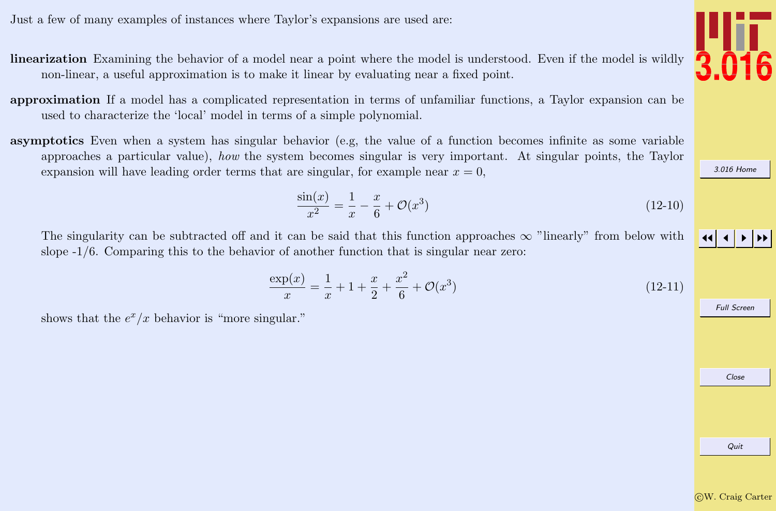<span id="page-14-0"></span>Just a few of many examples of instances where Taylor's expansions are used are:

- linearization Examining the behavior of a model near a point where the model is understood. Even if the model is wildly non-linear, a useful approximation is to make it linear by evaluating near a fixed point.
- approximation If a model has a complicated representation in terms of unfamiliar functions, a Taylor expansion can be used to characterize the 'local' model in terms of a simple polynomial.
- asymptotics Even when a system has singular behavior (e.g, the value of a function becomes infinite as some variable approaches a particular value), how the system becomes singular is very important. At singular points, the Taylor expansion will have leading order terms that are singular, for example near  $x = 0$ ,

$$
\frac{\sin(x)}{x^2} = \frac{1}{x} - \frac{x}{6} + \mathcal{O}(x^3)
$$
\n(12-10)

The singularity can be subtracted off and it can be said that this function approaches  $\infty$  "linearly" from below with slope -1/6. Comparing this to the behavior of another function that is singular near zero:

$$
\frac{\exp(x)}{x} = \frac{1}{x} + 1 + \frac{x}{2} + \frac{x^2}{6} + \mathcal{O}(x^3)
$$
\n(12-11)

shows that the  $e^x/x$  behavior is "more singular."

Quit



3.016 H

JJ J I II

Full Screen

Close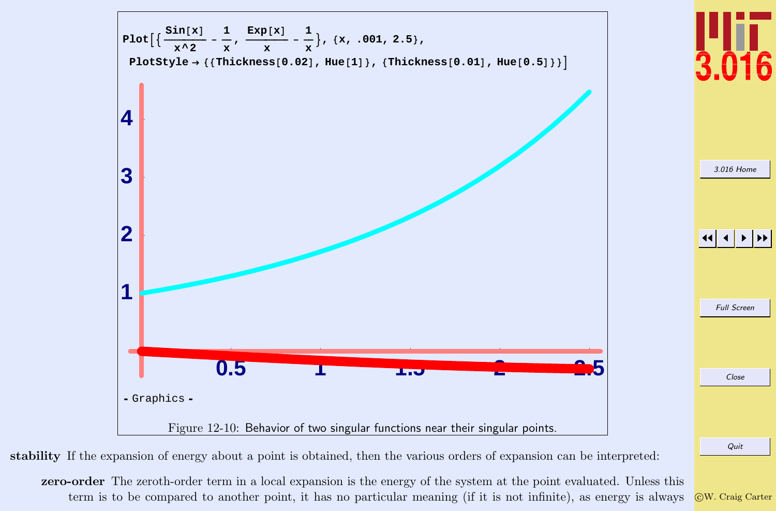

stability If the expansion of energy about a point is obtained, then the various orders of expansion can be interpreted:

zero-order The zeroth-order term in a local expansion is the energy of the system at the point evaluated. Unless this term is to be compared to another point, it has no particular meaning (if it is not infinite), as energy is always

c W. Craig Carter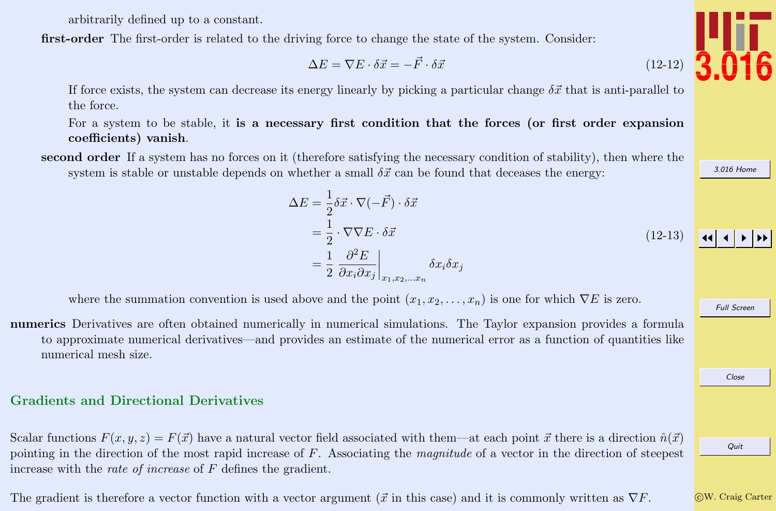arbitrarily defined up to a constant.

<span id="page-16-0"></span>first-order The first-order is related to the driving force to change the state of the system. Consider:

$$
\Delta E = \nabla E \cdot \delta \vec{x} = -\vec{F} \cdot \delta \vec{x} \tag{12-12}
$$

If force exists, the system can decrease its energy linearly by picking a particular change  $\delta \vec{x}$  that is anti-parallel to the force.

For a system to be stable, it is a necessary first condition that the forces (or first order expansion coefficients) vanish.

second order If a system has no forces on it (therefore satisfying the necessary condition of stability), then where the system is stable or unstable depends on whether a small  $\delta \vec{x}$  can be found that deceases the energy:

$$
\Delta E = \frac{1}{2} \delta \vec{x} \cdot \nabla (-\vec{F}) \cdot \delta \vec{x}
$$
  
=\frac{1}{2} \cdot \nabla \nabla E \cdot \delta \vec{x}  
=\frac{1}{2} \frac{\partial^2 E}{\partial x\_i \partial x\_j}\Big|\_{x\_1, x\_2, \dots, x\_n} \delta x\_i \delta x\_j \qquad (12-13)

where the summation convention is used above and the point  $(x_1, x_2, \ldots, x_n)$  is one for which  $\nabla E$  is zero.

numerics Derivatives are often obtained numerically in numerical simulations. The Taylor expansion provides a formula to approximate numerical derivatives—and provides an estimate of the numerical error as a function of quantities like numerical mesh size.

### Gradients and Directional Derivatives

Scalar functions  $F(x, y, z) = F(\vec{x})$  have a natural vector field associated with them—at each point  $\vec{x}$  there is a direction  $\hat{n}(\vec{x})$ pointing in the direction of the most rapid increase of  $F$ . Associating the *magnitude* of a vector in the direction of steepest increase with the rate of increase of F defines the gradient.

The gradient is therefore a vector function with a vector argument ( $\vec{x}$  in this case) and it is commonly written as  $\nabla F$ .



[3.016 Home](http://pruffle.mit.edu/3.016-2012/)

Full Screen

Close

c W. Craig Carter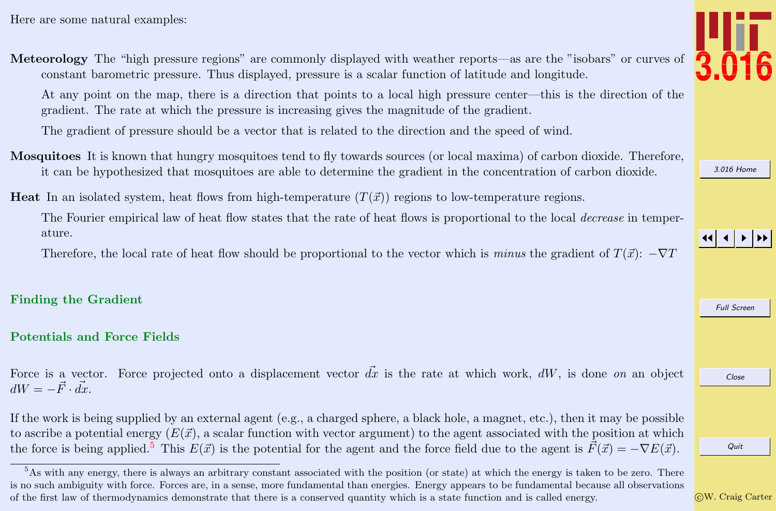<span id="page-17-0"></span>Meteorology The "high pressure regions" are commonly displayed with weather reports—as are the "isobars" or curves of constant barometric pressure. Thus displayed, pressure is a scalar function of latitude and longitude.

At any point on the map, there is a direction that points to a local high pressure center—this is the direction of the gradient. The rate at which the pressure is increasing gives the magnitude of the gradient.

The gradient of pressure should be a vector that is related to the direction and the speed of wind.

Mosquitoes It is known that hungry mosquitoes tend to fly towards sources (or local maxima) of carbon dioxide. Therefore, it can be hypothesized that mosquitoes are able to determine the gradient in the concentration of carbon dioxide.

**Heat** In an isolated system, heat flows from high-temperature  $(T(\vec{x}))$  regions to low-temperature regions.

The Fourier empirical law of heat flow states that the rate of heat flows is proportional to the local *decrease* in temperature.

Therefore, the local rate of heat flow should be proportional to the vector which is minus the gradient of  $T(\vec{x})$ :  $-\nabla T$ 

## Finding the Gradient

## Potentials and Force Fields

Force is a vector. Force projected onto a displacement vector  $dx$  is the rate at which work,  $dW$ , is done on an object  $dW = -\vec{F} \cdot d\vec{x}.$ 

If the work is being supplied by an external agent (e.g., a charged sphere, a black hole, a magnet, etc.), then it may be possible to ascribe a potential energy  $(E(\vec{x}))$ , a scalar function with vector argument) to the agent associated with the position at which the force is being applied.<sup>5</sup> This  $E(\vec{x})$  is the potential for the agent and the force field due to the agent is  $\vec{F}(\vec{x}) = -\nabla E(\vec{x})$ .



[3.016 Home](http://pruffle.mit.edu/3.016-2012/)

JJ J I II

Full Screen

Close

<sup>&</sup>lt;sup>5</sup>As with any energy, there is always an arbitrary constant associated with the position (or state) at which the energy is taken to be zero. There is no such ambiguity with force. Forces are, in a sense, more fundamental than energies. Energy appears to be fundamental because all observations of the first law of thermodynamics demonstrate that there is a conserved quantity which is a state function and is called energy.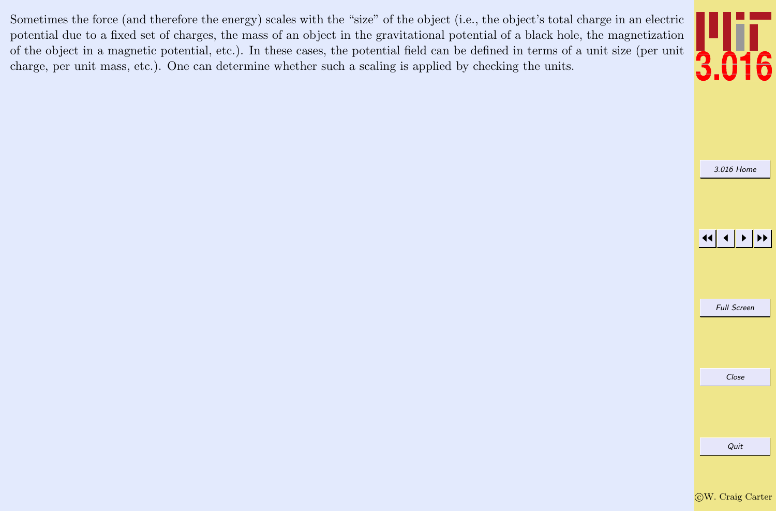Sometimes the force (and therefore the energy) scales with the "size" of the object (i.e., the object's total charge in an electric potential due to a fixed set of charges, the mass of an object in the gravitational potential of a black hole, the magnetization of the object in a magnetic potential, etc.). In these cases, the potential field can be defined in terms of a unit size (per unit charge, per unit mass, etc.). One can determine whether such a scaling is applied by checking the units.



[3.016 Home](http://pruffle.mit.edu/3.016-2012/)

JJ J I II

Full Screen

Close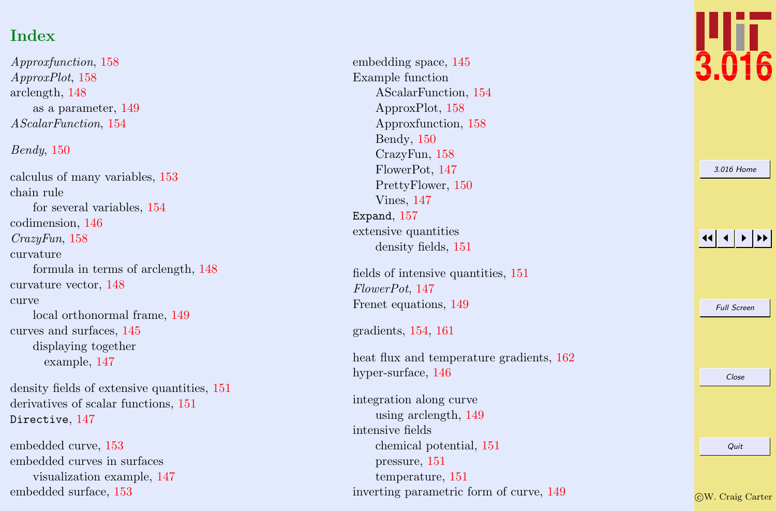# Index

Approxfunction , [158](#page-13-0) ApproxPlot , [158](#page-13-0) arclength, [148](#page-3-0) as a parameter, [149](#page-4-0) AScalarFunction , [154](#page-9-0)

## Bendy , [150](#page-5-0)

calculus of many variables, [153](#page-8-0) chain rule for several variables, [154](#page-9-0) codimension, [146](#page-1-0) CrazyFun , [158](#page-13-0) curvature formula in terms of arclength, [148](#page-3-0) curvature vector, [148](#page-3-0) curve local orthonormal frame, [149](#page-4-0) curves and surfaces, [145](#page-0-0) displaying together example, [147](#page-2-0)

density fields of extensive quantities, [151](#page-6-0) derivatives of scalar functions, [151](#page-6-0) Directive,  $147$ 

embedded curve, [153](#page-8-0) embedded curves in surfaces visualization example, [147](#page-2-0) embedded surface, [153](#page-8-0)

embedding space, [145](#page-0-0) Example function AScalarFunction, [154](#page-9-0) ApproxPlot, [158](#page-13-0) Approxfunction, [158](#page-13-0) Bendy, [150](#page-5-0) CrazyFun, [158](#page-13-0) FlowerPot, [147](#page-2-0) PrettyFlower, [150](#page-5-0) Vines, [147](#page-2-0) Expand , [157](#page-12-0) extensive quantities density fields, [151](#page-6-0)

fields of intensive quantities, [151](#page-6-0) FlowerPot , [147](#page-2-0) Frenet equations, [149](#page-4-0)

gradients, [154](#page-9-0) , [161](#page-16-0)

heat flux and temperature gradients,  $162$ hyper-surface, [146](#page-1-0)

integration along curve using arclength, [149](#page-4-0) intensive fields chemical potential, [151](#page-6-0) pressure, [151](#page-6-0) temperature, [151](#page-6-0) inverting parametric form of curve, [149](#page-4-0)



[3.016 Home](http://pruffle.mit.edu/3.016-2012/)

#### 11  $\blacktriangleleft$ I II

Full Screen

Close